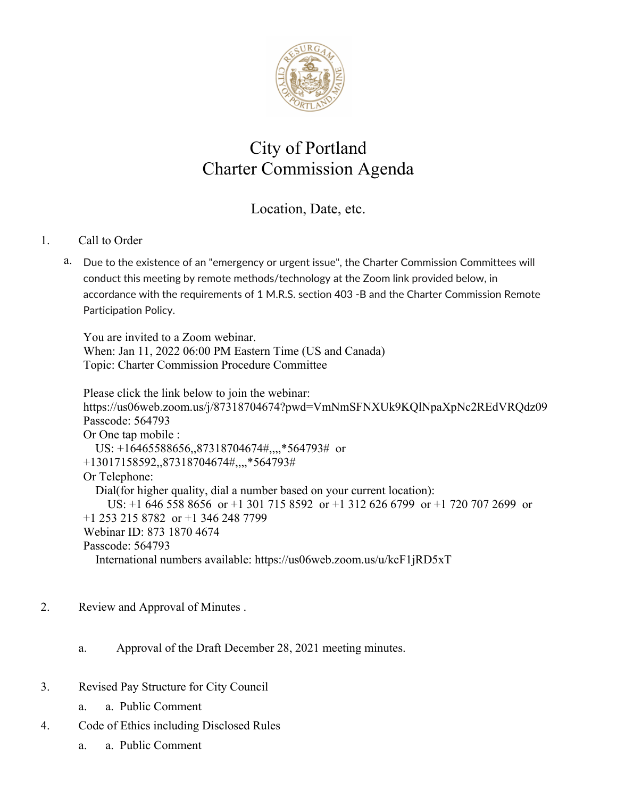

## City of Portland Charter Commission Agenda

## Location, Date, etc.

## 1. Call to Order

a. [Due to the existence of an "emergency or urgent issue", the Charter Commission Committees will](https://portlandme.v8.civicclerk.com/Meetings/Agenda/ItemFields?id=20336)  [conduct this meeting by remote methods/technology at the Zoom link provided below, in](https://portlandme.v8.civicclerk.com/Meetings/Agenda/ItemFields?id=20336)  [accordance with the requirements of 1 M.R.S. section 403 -B and the Charter Commission Remote](https://portlandme.v8.civicclerk.com/Meetings/Agenda/ItemFields?id=20336)  [Participation Policy.](https://portlandme.v8.civicclerk.com/Meetings/Agenda/ItemFields?id=20336)

You are invited to a Zoom webinar. When: Jan 11, 2022 06:00 PM Eastern Time (US and Canada) Topic: Charter Commission Procedure Committee

Please click the link below to join the webinar: https://us06web.zoom.us/j/87318704674?pwd=VmNmSFNXUk9KQlNpaXpNc2REdVRQdz09 Passcode: 564793 Or One tap mobile : US: +16465588656,,87318704674#,,,,\*564793# or +13017158592,,87318704674#,,,,\*564793# Or Telephone: Dial(for higher quality, dial a number based on your current location): US: +1 646 558 8656 or +1 301 715 8592 or +1 312 626 6799 or +1 720 707 2699 or +1 253 215 8782 or +1 346 248 7799 Webinar ID: 873 1870 4674 Passcode: 564793 International numbers available: https://us06web.zoom.us/u/kcF1jRD5xT

- 2. Review and Approval of Minutes .
	- a. Approval of the Draft December 28, 2021 meeting minutes.
- 3. Revised Pay Structure for City Council
	- a. a. Public Comment
- 4. Code of Ethics including Disclosed Rules
	- a. a. Public Comment